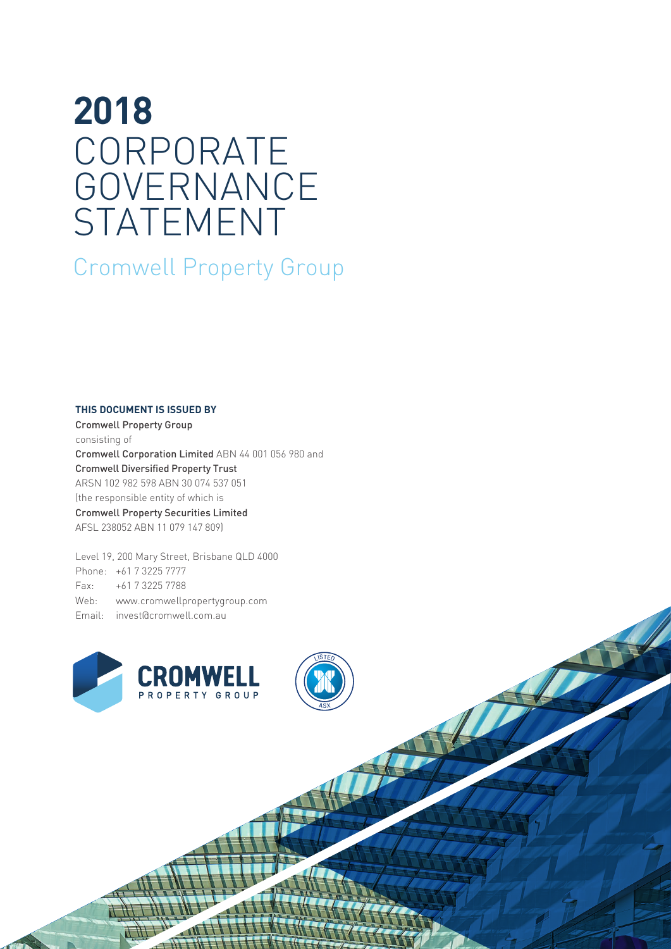# **2018** CORPORATE GOVERNANCE STATEMENT

Cromwell Property Group

### **THIS DOCUMENT IS ISSUED BY**

Cromwell Property Group consisting of Cromwell Corporation Limited ABN 44 001 056 980 and Cromwell Diversified Property Trust ARSN 102 982 598 ABN 30 074 537 051 (the responsible entity of which is Cromwell Property Securities Limited AFSL 238052 ABN 11 079 147 809)

Level 19, 200 Mary Street, Brisbane QLD 4000 Phone: +61 7 3225 7777 Fax: +61 7 3225 7788 Web: www.cromwellpropertygroup.com Email: invest@cromwell.com.au



ASX

LISTED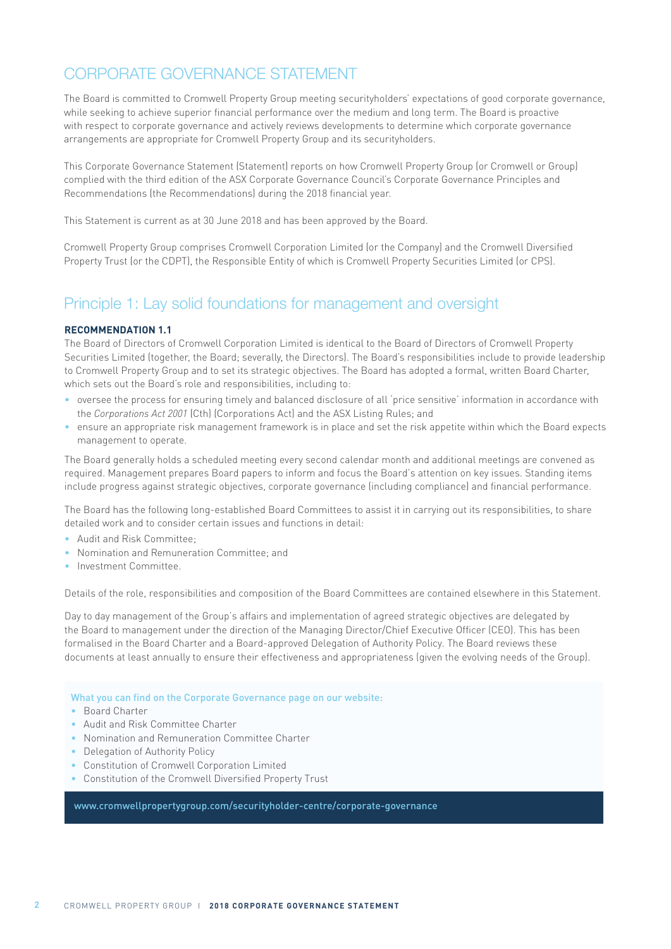# CORPORATE GOVERNANCE STATEMENT

The Board is committed to Cromwell Property Group meeting securityholders' expectations of good corporate governance, while seeking to achieve superior financial performance over the medium and long term. The Board is proactive with respect to corporate governance and actively reviews developments to determine which corporate governance arrangements are appropriate for Cromwell Property Group and its securityholders.

This Corporate Governance Statement (Statement) reports on how Cromwell Property Group (or Cromwell or Group) complied with the third edition of the ASX Corporate Governance Council's Corporate Governance Principles and Recommendations (the Recommendations) during the 2018 financial year.

This Statement is current as at 30 June 2018 and has been approved by the Board.

Cromwell Property Group comprises Cromwell Corporation Limited (or the Company) and the Cromwell Diversified Property Trust (or the CDPT), the Responsible Entity of which is Cromwell Property Securities Limited (or CPS).

# Principle 1: Lay solid foundations for management and oversight

### **RECOMMENDATION 1.1**

The Board of Directors of Cromwell Corporation Limited is identical to the Board of Directors of Cromwell Property Securities Limited (together, the Board; severally, the Directors). The Board's responsibilities include to provide leadership to Cromwell Property Group and to set its strategic objectives. The Board has adopted a formal, written Board Charter, which sets out the Board's role and responsibilities, including to:

- oversee the process for ensuring timely and balanced disclosure of all 'price sensitive' information in accordance with the *Corporations Act 2001* (Cth) (Corporations Act) and the ASX Listing Rules; and
- ensure an appropriate risk management framework is in place and set the risk appetite within which the Board expects management to operate.

The Board generally holds a scheduled meeting every second calendar month and additional meetings are convened as required. Management prepares Board papers to inform and focus the Board's attention on key issues. Standing items include progress against strategic objectives, corporate governance (including compliance) and financial performance.

The Board has the following long-established Board Committees to assist it in carrying out its responsibilities, to share detailed work and to consider certain issues and functions in detail:

- Audit and Risk Committee;
- Nomination and Remuneration Committee; and
- Investment Committee.

Details of the role, responsibilities and composition of the Board Committees are contained elsewhere in this Statement.

Day to day management of the Group's affairs and implementation of agreed strategic objectives are delegated by the Board to management under the direction of the Managing Director/Chief Executive Officer (CEO). This has been formalised in the Board Charter and a Board-approved Delegation of Authority Policy. The Board reviews these documents at least annually to ensure their effectiveness and appropriateness (given the evolving needs of the Group).

#### What you can find on the Corporate Governance page on our website:

- Board Charter
- Audit and Risk Committee Charter
- Nomination and Remuneration Committee Charter
- Delegation of Authority Policy
- Constitution of Cromwell Corporation Limited
- Constitution of the Cromwell Diversified Property Trust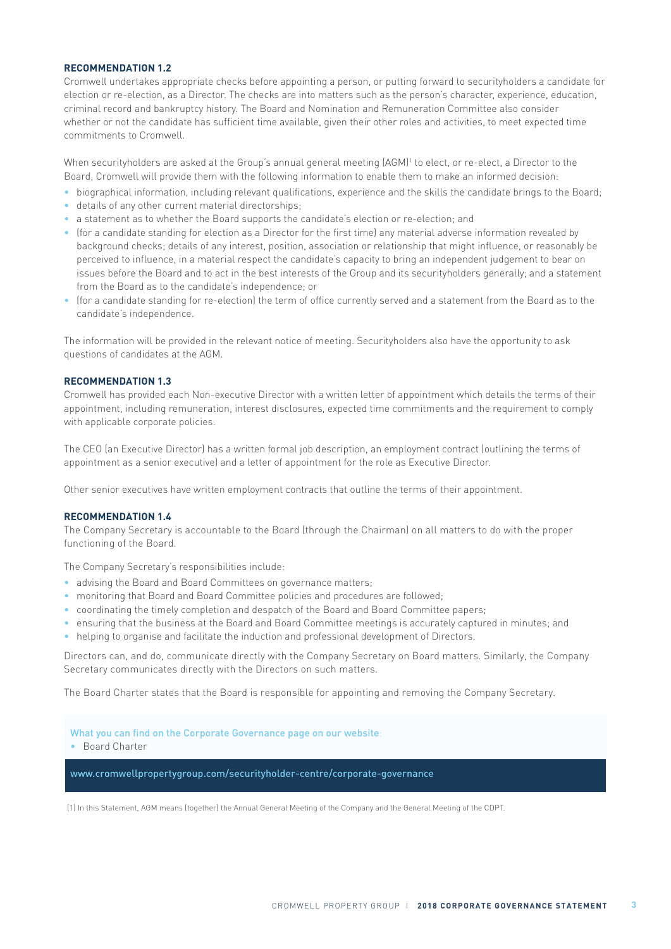# **RECOMMENDATION 1.2**

Cromwell undertakes appropriate checks before appointing a person, or putting forward to securityholders a candidate for election or re-election, as a Director. The checks are into matters such as the person's character, experience, education, criminal record and bankruptcy history. The Board and Nomination and Remuneration Committee also consider whether or not the candidate has sufficient time available, given their other roles and activities, to meet expected time commitments to Cromwell.

When securityholders are asked at the Group's annual general meeting (AGM)<sup>1</sup> to elect, or re-elect, a Director to the Board, Cromwell will provide them with the following information to enable them to make an informed decision:

- biographical information, including relevant qualifications, experience and the skills the candidate brings to the Board;
- details of any other current material directorships;
- a statement as to whether the Board supports the candidate's election or re-election; and
- (for a candidate standing for election as a Director for the first time) any material adverse information revealed by background checks; details of any interest, position, association or relationship that might influence, or reasonably be perceived to influence, in a material respect the candidate's capacity to bring an independent judgement to bear on issues before the Board and to act in the best interests of the Group and its securityholders generally; and a statement from the Board as to the candidate's independence; or
- (for a candidate standing for re-election) the term of office currently served and a statement from the Board as to the candidate's independence.

The information will be provided in the relevant notice of meeting. Securityholders also have the opportunity to ask questions of candidates at the AGM.

#### **RECOMMENDATION 1.3**

Cromwell has provided each Non-executive Director with a written letter of appointment which details the terms of their appointment, including remuneration, interest disclosures, expected time commitments and the requirement to comply with applicable corporate policies.

The CEO (an Executive Director) has a written formal job description, an employment contract (outlining the terms of appointment as a senior executive) and a letter of appointment for the role as Executive Director.

Other senior executives have written employment contracts that outline the terms of their appointment.

#### **RECOMMENDATION 1.4**

The Company Secretary is accountable to the Board (through the Chairman) on all matters to do with the proper functioning of the Board.

The Company Secretary's responsibilities include:

- advising the Board and Board Committees on governance matters;
- monitoring that Board and Board Committee policies and procedures are followed;
- coordinating the timely completion and despatch of the Board and Board Committee papers;
- ensuring that the business at the Board and Board Committee meetings is accurately captured in minutes; and
- helping to organise and facilitate the induction and professional development of Directors.

Directors can, and do, communicate directly with the Company Secretary on Board matters. Similarly, the Company Secretary communicates directly with the Directors on such matters.

The Board Charter states that the Board is responsible for appointing and removing the Company Secretary.

What you can find on the Corporate Governance page on our website:

• Board Charter

www.cromwellpropertygroup.com/securityholder-centre/corporate-governance

(1) In this Statement, AGM means (together) the Annual General Meeting of the Company and the General Meeting of the CDPT.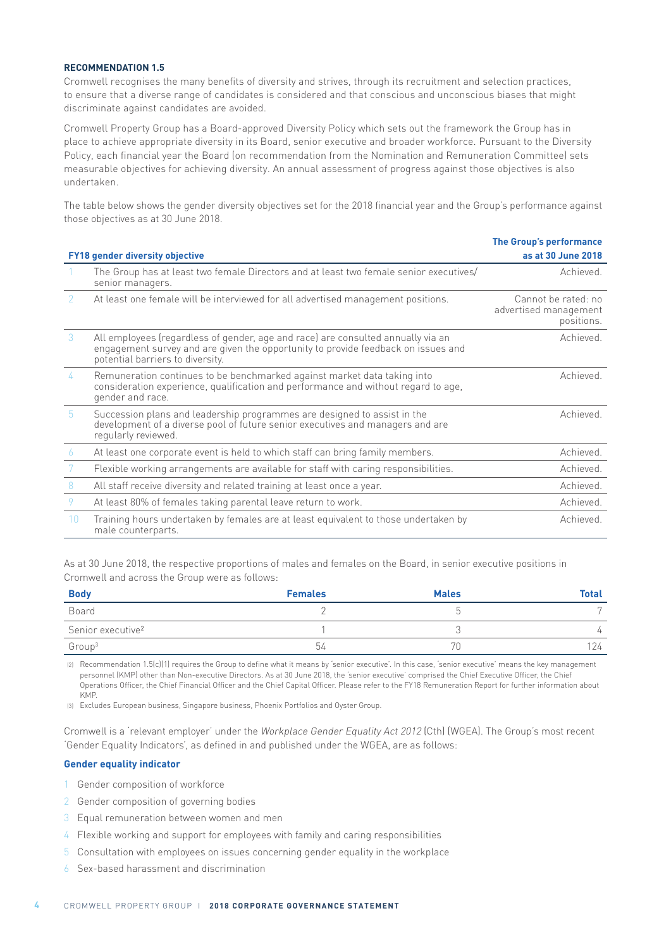#### **RECOMMENDATION 1.5**

Cromwell recognises the many benefits of diversity and strives, through its recruitment and selection practices, to ensure that a diverse range of candidates is considered and that conscious and unconscious biases that might discriminate against candidates are avoided.

Cromwell Property Group has a Board-approved Diversity Policy which sets out the framework the Group has in place to achieve appropriate diversity in its Board, senior executive and broader workforce. Pursuant to the Diversity Policy, each financial year the Board (on recommendation from the Nomination and Remuneration Committee) sets measurable objectives for achieving diversity. An annual assessment of progress against those objectives is also undertaken.

The table below shows the gender diversity objectives set for the 2018 financial year and the Group's performance against those objectives as at 30 June 2018.

|                 |                                                                                                                                                                                                           | <b>The Group's performance</b>                             |
|-----------------|-----------------------------------------------------------------------------------------------------------------------------------------------------------------------------------------------------------|------------------------------------------------------------|
|                 | <b>FY18 gender diversity objective</b>                                                                                                                                                                    | as at 30 June 2018                                         |
|                 | The Group has at least two female Directors and at least two female senior executives/<br>senior managers.                                                                                                | Achieved.                                                  |
| 2               | At least one female will be interviewed for all advertised management positions.                                                                                                                          | Cannot be rated: no<br>advertised management<br>positions. |
| $\mathcal{S}$   | All employees (regardless of gender, age and race) are consulted annually via an<br>engagement survey and are given the opportunity to provide feedback on issues and<br>potential barriers to diversity. | Achieved.                                                  |
| 4               | Remuneration continues to be benchmarked against market data taking into<br>consideration experience, qualification and performance and without regard to age,<br>gender and race.                        | Achieved                                                   |
| $5\phantom{.0}$ | Succession plans and leadership programmes are designed to assist in the<br>development of a diverse pool of future senior executives and managers and are<br>regularly reviewed.                         | Achieved.                                                  |
| 6               | At least one corporate event is held to which staff can bring family members.                                                                                                                             | Achieved.                                                  |
| 7               | Flexible working arrangements are available for staff with caring responsibilities.                                                                                                                       | Achieved.                                                  |
| 8               | All staff receive diversity and related training at least once a year.                                                                                                                                    | Achieved.                                                  |
| 9               | At least 80% of females taking parental leave return to work.                                                                                                                                             | Achieved.                                                  |
| 10              | Training hours undertaken by females are at least equivalent to those undertaken by<br>male counterparts.                                                                                                 | Achieved.                                                  |

As at 30 June 2018, the respective proportions of males and females on the Board, in senior executive positions in Cromwell and across the Group were as follows:

| <b>Body</b>                   | <b>Females</b> | <b>Males</b> | <b>Total</b>   |
|-------------------------------|----------------|--------------|----------------|
| Board                         |                |              | $\overline{ }$ |
| Senior executive <sup>2</sup> |                |              | 4              |
| Group <sup>3</sup>            | 54             | نا '         | 24             |

(2) Recommendation 1.5(c)(1) requires the Group to define what it means by 'senior executive'. In this case, 'senior executive' means the key management personnel (KMP) other than Non-executive Directors. As at 30 June 2018, the 'senior executive' comprised the Chief Executive Officer, the Chief Operations Officer, the Chief Financial Officer and the Chief Capital Officer. Please refer to the FY18 Remuneration Report for further information about KMP.

(3) Excludes European business, Singapore business, Phoenix Portfolios and Oyster Group.

Cromwell is a 'relevant employer' under the Workplace Gender Equality Act 2012 (Cth) (WGEA). The Group's most recent 'Gender Equality Indicators', as defined in and published under the WGEA, are as follows:

#### **Gender equality indicator**

- 1 Gender composition of workforce
- 2 Gender composition of governing bodies
- 3 Equal remuneration between women and men
- 4 Flexible working and support for employees with family and caring responsibilities
- 5 Consultation with employees on issues concerning gender equality in the workplace
- 6 Sex-based harassment and discrimination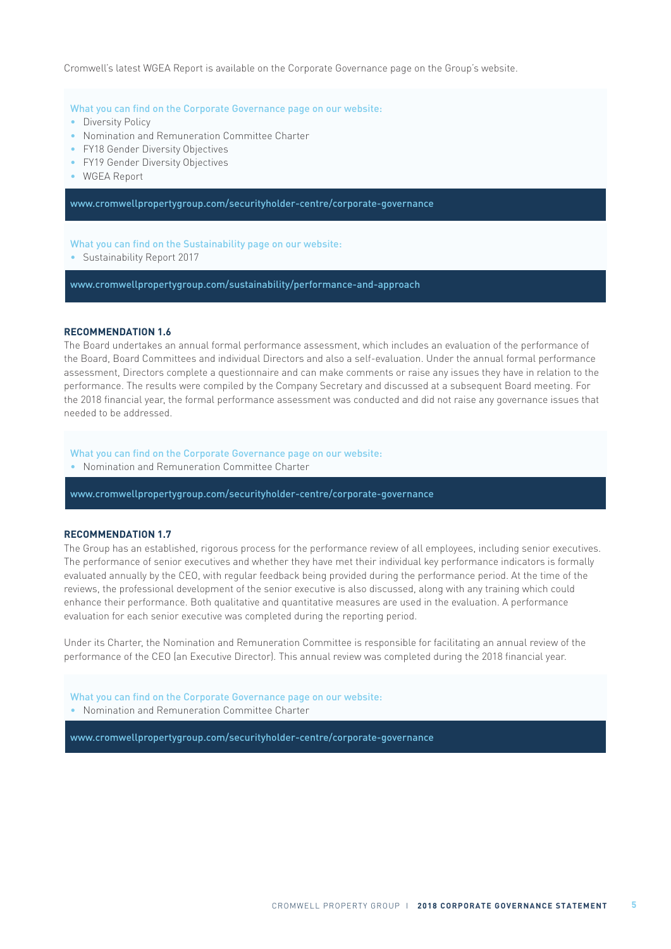Cromwell's latest WGEA Report is available on the Corporate Governance page on the Group's website.

#### What you can find on the Corporate Governance page on our website:

- Diversity Policy
- Nomination and Remuneration Committee Charter
- FY18 Gender Diversity Objectives
- FY19 Gender Diversity Objectives
- WGEA Report

www.cromwellpropertygroup.com/securityholder-centre/corporate-governance

What you can find on the Sustainability page on our website:

• Sustainability Report 2017

www.cromwellpropertygroup.com/sustainability/performance-and-approach

#### **RECOMMENDATION 1.6**

The Board undertakes an annual formal performance assessment, which includes an evaluation of the performance of the Board, Board Committees and individual Directors and also a self-evaluation. Under the annual formal performance assessment, Directors complete a questionnaire and can make comments or raise any issues they have in relation to the performance. The results were compiled by the Company Secretary and discussed at a subsequent Board meeting. For the 2018 financial year, the formal performance assessment was conducted and did not raise any governance issues that needed to be addressed.

What you can find on the Corporate Governance page on our website:

• Nomination and Remuneration Committee Charter

www.cromwellpropertygroup.com/securityholder-centre/corporate-governance

#### **RECOMMENDATION 1.7**

The Group has an established, rigorous process for the performance review of all employees, including senior executives. The performance of senior executives and whether they have met their individual key performance indicators is formally evaluated annually by the CEO, with regular feedback being provided during the performance period. At the time of the reviews, the professional development of the senior executive is also discussed, along with any training which could enhance their performance. Both qualitative and quantitative measures are used in the evaluation. A performance evaluation for each senior executive was completed during the reporting period.

Under its Charter, the Nomination and Remuneration Committee is responsible for facilitating an annual review of the performance of the CEO (an Executive Director). This annual review was completed during the 2018 financial year.

What you can find on the Corporate Governance page on our website: • Nomination and Remuneration Committee Charter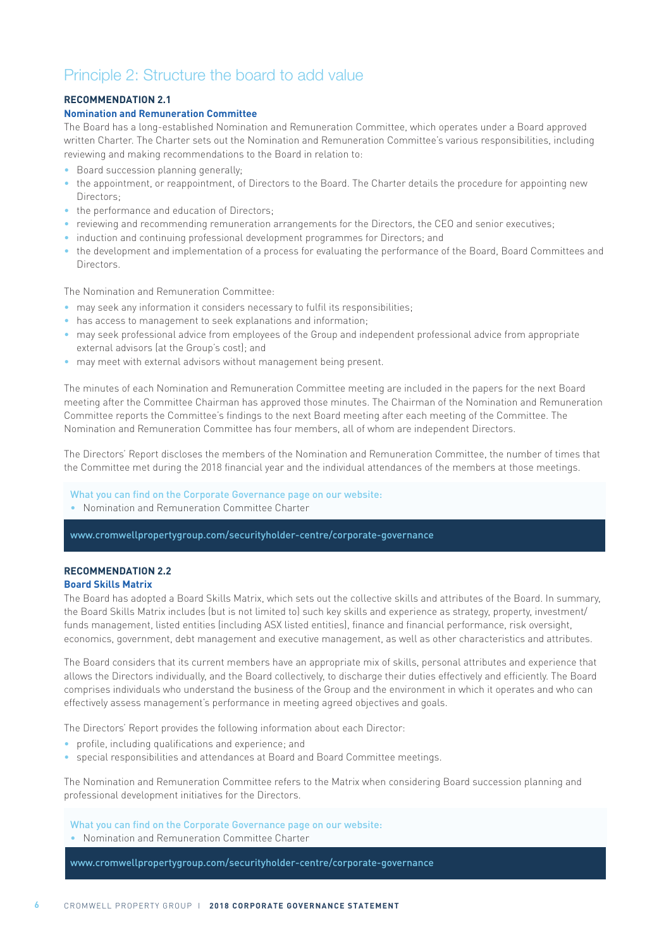# Principle 2: Structure the board to add value

### **RECOMMENDATION 2.1**

#### **Nomination and Remuneration Committee**

The Board has a long-established Nomination and Remuneration Committee, which operates under a Board approved written Charter. The Charter sets out the Nomination and Remuneration Committee's various responsibilities, including reviewing and making recommendations to the Board in relation to:

- Board succession planning generally;
- the appointment, or reappointment, of Directors to the Board. The Charter details the procedure for appointing new Directors;
- the performance and education of Directors:
- reviewing and recommending remuneration arrangements for the Directors, the CEO and senior executives;
- induction and continuing professional development programmes for Directors; and
- the development and implementation of a process for evaluating the performance of the Board, Board Committees and Directors.

The Nomination and Remuneration Committee:

- may seek any information it considers necessary to fulfil its responsibilities;
- has access to management to seek explanations and information;
- may seek professional advice from employees of the Group and independent professional advice from appropriate external advisors (at the Group's cost); and
- may meet with external advisors without management being present.

The minutes of each Nomination and Remuneration Committee meeting are included in the papers for the next Board meeting after the Committee Chairman has approved those minutes. The Chairman of the Nomination and Remuneration Committee reports the Committee's findings to the next Board meeting after each meeting of the Committee. The Nomination and Remuneration Committee has four members, all of whom are independent Directors.

The Directors' Report discloses the members of the Nomination and Remuneration Committee, the number of times that the Committee met during the 2018 financial year and the individual attendances of the members at those meetings.

### What you can find on the Corporate Governance page on our website:

• Nomination and Remuneration Committee Charter

www.cromwellpropertygroup.com/securityholder-centre/corporate-governance

#### **RECOMMENDATION 2.2 Board Skills Matrix**

The Board has adopted a Board Skills Matrix, which sets out the collective skills and attributes of the Board. In summary, the Board Skills Matrix includes (but is not limited to) such key skills and experience as strategy, property, investment/ funds management, listed entities (including ASX listed entities), finance and financial performance, risk oversight, economics, government, debt management and executive management, as well as other characteristics and attributes.

The Board considers that its current members have an appropriate mix of skills, personal attributes and experience that allows the Directors individually, and the Board collectively, to discharge their duties effectively and efficiently. The Board comprises individuals who understand the business of the Group and the environment in which it operates and who can effectively assess management's performance in meeting agreed objectives and goals.

The Directors' Report provides the following information about each Director:

- profile, including qualifications and experience; and
- special responsibilities and attendances at Board and Board Committee meetings.

The Nomination and Remuneration Committee refers to the Matrix when considering Board succession planning and professional development initiatives for the Directors.

What you can find on the Corporate Governance page on our website:

• Nomination and Remuneration Committee Charter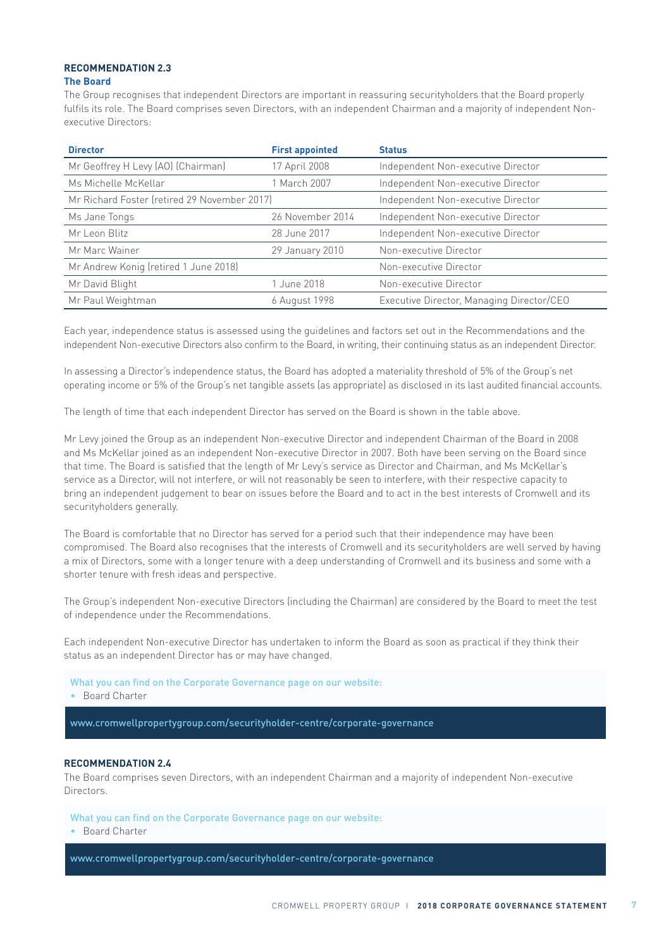# **RECOMMENDATION 2.3**

**The Board**

The Group recognises that independent Directors are important in reassuring securityholders that the Board properly fulfils its role. The Board comprises seven Directors, with an independent Chairman and a majority of independent Nonexecutive Directors:

| <b>Director</b>                              | <b>First appointed</b>             | <b>Status</b>                             |
|----------------------------------------------|------------------------------------|-------------------------------------------|
| Mr Geoffrey H Levy (AO) (Chairman)           | 17 April 2008                      | Independent Non-executive Director        |
| Ms Michelle McKellar                         | 1 March 2007                       | Independent Non-executive Director        |
| Mr Richard Foster (retired 29 November 2017) | Independent Non-executive Director |                                           |
| Ms Jane Tongs                                | 26 November 2014                   | Independent Non-executive Director        |
| Mr Leon Blitz                                | 28 June 2017                       | Independent Non-executive Director        |
| Mr Marc Wainer                               | 29 January 2010                    | Non-executive Director                    |
| Mr Andrew Konig (retired 1 June 2018)        |                                    | Non-executive Director                    |
| Mr David Blight                              | 1 June 2018                        | Non-executive Director                    |
| Mr Paul Weightman                            | 6 August 1998                      | Executive Director, Managing Director/CEO |

Each year, independence status is assessed using the guidelines and factors set out in the Recommendations and the independent Non-executive Directors also confirm to the Board, in writing, their continuing status as an independent Director.

In assessing a Director's independence status, the Board has adopted a materiality threshold of 5% of the Group's net operating income or 5% of the Group's net tangible assets (as appropriate) as disclosed in its last audited financial accounts.

The length of time that each independent Director has served on the Board is shown in the table above.

Mr Levy joined the Group as an independent Non-executive Director and independent Chairman of the Board in 2008 and Ms McKellar joined as an independent Non-executive Director in 2007. Both have been serving on the Board since that time. The Board is satisfied that the length of Mr Levy's service as Director and Chairman, and Ms McKellar's service as a Director, will not interfere, or will not reasonably be seen to interfere, with their respective capacity to bring an independent judgement to bear on issues before the Board and to act in the best interests of Cromwell and its securityholders generally.

The Board is comfortable that no Director has served for a period such that their independence may have been compromised. The Board also recognises that the interests of Cromwell and its securityholders are well served by having a mix of Directors, some with a longer tenure with a deep understanding of Cromwell and its business and some with a shorter tenure with fresh ideas and perspective.

The Group's independent Non-executive Directors (including the Chairman) are considered by the Board to meet the test of independence under the Recommendations.

Each independent Non-executive Director has undertaken to inform the Board as soon as practical if they think their status as an independent Director has or may have changed.

What you can find on the Corporate Governance page on our website:

• Board Charter

www.cromwellpropertygroup.com/securityholder-centre/corporate-governance

#### **RECOMMENDATION 2.4**

The Board comprises seven Directors, with an independent Chairman and a majority of independent Non-executive Directors.

What you can find on the Corporate Governance page on our website: • Board Charter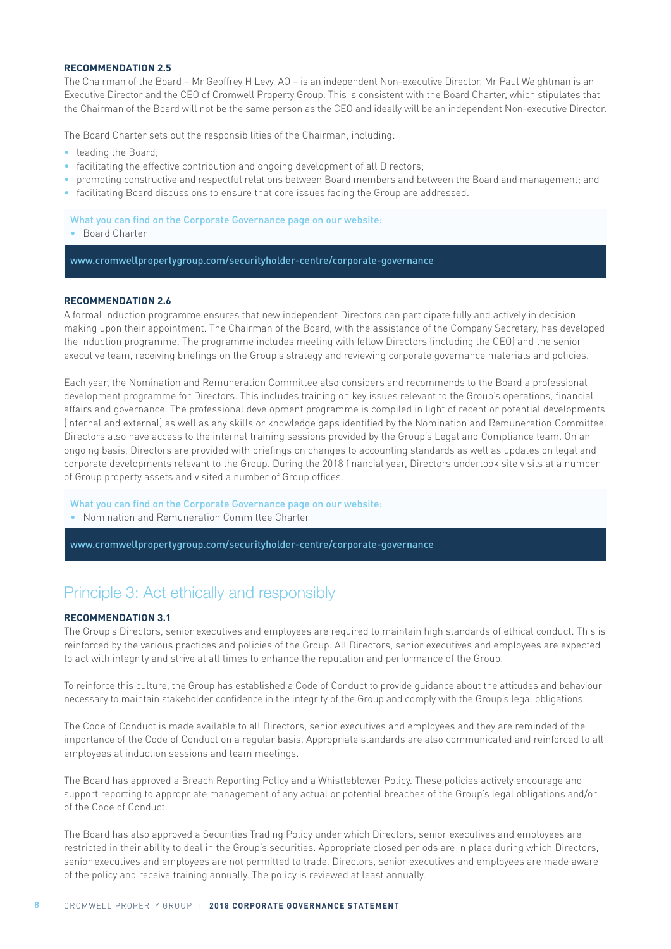# **RECOMMENDATION 2.5**

The Chairman of the Board – Mr Geoffrey H Levy, AO – is an independent Non-executive Director. Mr Paul Weightman is an Executive Director and the CEO of Cromwell Property Group. This is consistent with the Board Charter, which stipulates that the Chairman of the Board will not be the same person as the CEO and ideally will be an independent Non-executive Director.

The Board Charter sets out the responsibilities of the Chairman, including:

- leading the Board;
- facilitating the effective contribution and ongoing development of all Directors;
- promoting constructive and respectful relations between Board members and between the Board and management; and
- facilitating Board discussions to ensure that core issues facing the Group are addressed.

What you can find on the Corporate Governance page on our website: • Board Charter

www.cromwellpropertygroup.com/securityholder-centre/corporate-governance

#### **RECOMMENDATION 2.6**

A formal induction programme ensures that new independent Directors can participate fully and actively in decision making upon their appointment. The Chairman of the Board, with the assistance of the Company Secretary, has developed the induction programme. The programme includes meeting with fellow Directors (including the CEO) and the senior executive team, receiving briefings on the Group's strategy and reviewing corporate governance materials and policies.

Each year, the Nomination and Remuneration Committee also considers and recommends to the Board a professional development programme for Directors. This includes training on key issues relevant to the Group's operations, financial affairs and governance. The professional development programme is compiled in light of recent or potential developments (internal and external) as well as any skills or knowledge gaps identified by the Nomination and Remuneration Committee. Directors also have access to the internal training sessions provided by the Group's Legal and Compliance team. On an ongoing basis, Directors are provided with briefings on changes to accounting standards as well as updates on legal and corporate developments relevant to the Group. During the 2018 financial year, Directors undertook site visits at a number of Group property assets and visited a number of Group offices.

What you can find on the Corporate Governance page on our website:

• Nomination and Remuneration Committee Charter

www.cromwellpropertygroup.com/securityholder-centre/corporate-governance

# Principle 3: Act ethically and responsibly

### **RECOMMENDATION 3.1**

The Group's Directors, senior executives and employees are required to maintain high standards of ethical conduct. This is reinforced by the various practices and policies of the Group. All Directors, senior executives and employees are expected to act with integrity and strive at all times to enhance the reputation and performance of the Group.

To reinforce this culture, the Group has established a Code of Conduct to provide guidance about the attitudes and behaviour necessary to maintain stakeholder confidence in the integrity of the Group and comply with the Group's legal obligations.

The Code of Conduct is made available to all Directors, senior executives and employees and they are reminded of the importance of the Code of Conduct on a regular basis. Appropriate standards are also communicated and reinforced to all employees at induction sessions and team meetings.

The Board has approved a Breach Reporting Policy and a Whistleblower Policy. These policies actively encourage and support reporting to appropriate management of any actual or potential breaches of the Group's legal obligations and/or of the Code of Conduct.

The Board has also approved a Securities Trading Policy under which Directors, senior executives and employees are restricted in their ability to deal in the Group's securities. Appropriate closed periods are in place during which Directors, senior executives and employees are not permitted to trade. Directors, senior executives and employees are made aware of the policy and receive training annually. The policy is reviewed at least annually.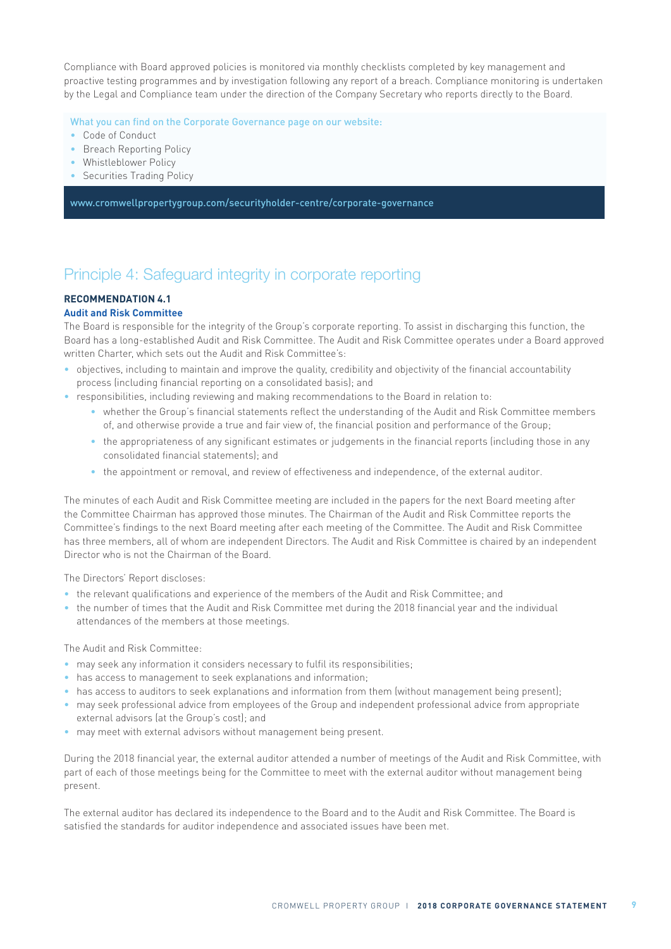Compliance with Board approved policies is monitored via monthly checklists completed by key management and proactive testing programmes and by investigation following any report of a breach. Compliance monitoring is undertaken by the Legal and Compliance team under the direction of the Company Secretary who reports directly to the Board.

What you can find on the Corporate Governance page on our website:

- Code of Conduct
- Breach Reporting Policy
- Whistleblower Policy
- Securities Trading Policy

www.cromwellpropertygroup.com/securityholder-centre/corporate-governance

# Principle 4: Safeguard integrity in corporate reporting

# **RECOMMENDATION 4.1**

# **Audit and Risk Committee**

The Board is responsible for the integrity of the Group's corporate reporting. To assist in discharging this function, the Board has a long-established Audit and Risk Committee. The Audit and Risk Committee operates under a Board approved written Charter, which sets out the Audit and Risk Committee's:

- objectives, including to maintain and improve the quality, credibility and objectivity of the financial accountability process (including financial reporting on a consolidated basis); and
- responsibilities, including reviewing and making recommendations to the Board in relation to:
	- whether the Group's financial statements reflect the understanding of the Audit and Risk Committee members of, and otherwise provide a true and fair view of, the financial position and performance of the Group;
	- the appropriateness of any significant estimates or judgements in the financial reports (including those in any consolidated financial statements); and
	- the appointment or removal, and review of effectiveness and independence, of the external auditor.

The minutes of each Audit and Risk Committee meeting are included in the papers for the next Board meeting after the Committee Chairman has approved those minutes. The Chairman of the Audit and Risk Committee reports the Committee's findings to the next Board meeting after each meeting of the Committee. The Audit and Risk Committee has three members, all of whom are independent Directors. The Audit and Risk Committee is chaired by an independent Director who is not the Chairman of the Board.

The Directors' Report discloses:

- the relevant qualifications and experience of the members of the Audit and Risk Committee; and
- the number of times that the Audit and Risk Committee met during the 2018 financial year and the individual attendances of the members at those meetings.

The Audit and Risk Committee:

- may seek any information it considers necessary to fulfil its responsibilities;
- has access to management to seek explanations and information;
- has access to auditors to seek explanations and information from them (without management being present);
- may seek professional advice from employees of the Group and independent professional advice from appropriate external advisors (at the Group's cost); and
- may meet with external advisors without management being present.

During the 2018 financial year, the external auditor attended a number of meetings of the Audit and Risk Committee, with part of each of those meetings being for the Committee to meet with the external auditor without management being present.

The external auditor has declared its independence to the Board and to the Audit and Risk Committee. The Board is satisfied the standards for auditor independence and associated issues have been met.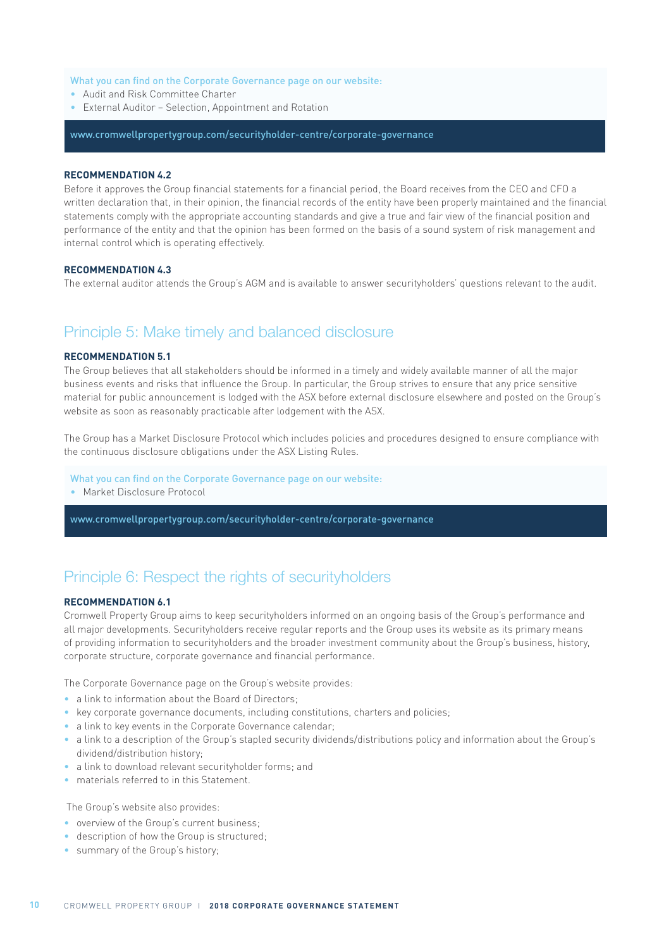#### What you can find on the Corporate Governance page on our website:

- Audit and Risk Committee Charter
- External Auditor Selection, Appointment and Rotation

### www.cromwellpropertygroup.com/securityholder-centre/corporate-governance

#### **RECOMMENDATION 4.2**

Before it approves the Group financial statements for a financial period, the Board receives from the CEO and CFO a written declaration that, in their opinion, the financial records of the entity have been properly maintained and the financial statements comply with the appropriate accounting standards and give a true and fair view of the financial position and performance of the entity and that the opinion has been formed on the basis of a sound system of risk management and internal control which is operating effectively.

#### **RECOMMENDATION 4.3**

The external auditor attends the Group's AGM and is available to answer securityholders' questions relevant to the audit.

# Principle 5: Make timely and balanced disclosure

#### **RECOMMENDATION 5.1**

The Group believes that all stakeholders should be informed in a timely and widely available manner of all the major business events and risks that influence the Group. In particular, the Group strives to ensure that any price sensitive material for public announcement is lodged with the ASX before external disclosure elsewhere and posted on the Group's website as soon as reasonably practicable after lodgement with the ASX.

The Group has a Market Disclosure Protocol which includes policies and procedures designed to ensure compliance with the continuous disclosure obligations under the ASX Listing Rules.

#### What you can find on the Corporate Governance page on our website:

• Market Disclosure Protocol

www.cromwellpropertygroup.com/securityholder-centre/corporate-governance

# Principle 6: Respect the rights of securityholders

### **RECOMMENDATION 6.1**

Cromwell Property Group aims to keep securityholders informed on an ongoing basis of the Group's performance and all major developments. Securityholders receive regular reports and the Group uses its website as its primary means of providing information to securityholders and the broader investment community about the Group's business, history, corporate structure, corporate governance and financial performance.

The Corporate Governance page on the Group's website provides:

- a link to information about the Board of Directors:
- key corporate governance documents, including constitutions, charters and policies;
- a link to key events in the Corporate Governance calendar;
- a link to a description of the Group's stapled security dividends/distributions policy and information about the Group's dividend/distribution history;
- a link to download relevant securityholder forms; and
- materials referred to in this Statement.

The Group's website also provides:

- overview of the Group's current business:
- description of how the Group is structured;
- summary of the Group's history;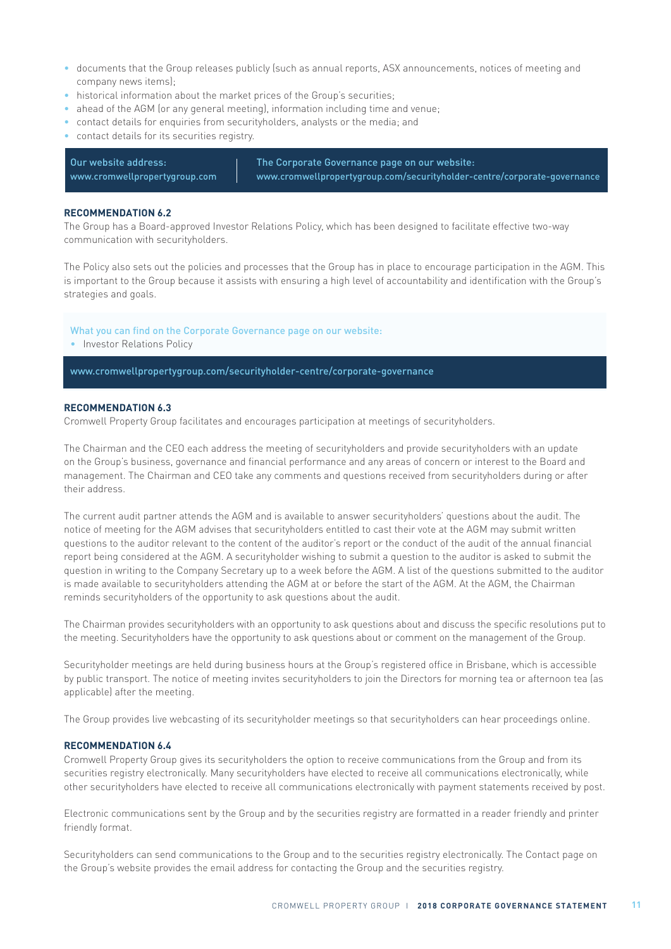- documents that the Group releases publicly (such as annual reports, ASX announcements, notices of meeting and company news items);
- historical information about the market prices of the Group's securities:
- ahead of the AGM (or any general meeting), information including time and venue;
- contact details for enquiries from securityholders, analysts or the media; and
- contact details for its securities registry.

The Corporate Governance page on our website: www.cromwellpropertygroup.com/securityholder-centre/corporate-governance Our website address: www.cromwellpropertygroup.com

#### **RECOMMENDATION 6.2**

The Group has a Board-approved Investor Relations Policy, which has been designed to facilitate effective two-way communication with securityholders.

The Policy also sets out the policies and processes that the Group has in place to encourage participation in the AGM. This is important to the Group because it assists with ensuring a high level of accountability and identification with the Group's strategies and goals.

What you can find on the Corporate Governance page on our website:

• Investor Relations Policy

www.cromwellpropertygroup.com/securityholder-centre/corporate-governance

#### **RECOMMENDATION 6.3**

Cromwell Property Group facilitates and encourages participation at meetings of securityholders.

The Chairman and the CEO each address the meeting of securityholders and provide securityholders with an update on the Group's business, governance and financial performance and any areas of concern or interest to the Board and management. The Chairman and CEO take any comments and questions received from securityholders during or after their address.

The current audit partner attends the AGM and is available to answer securityholders' questions about the audit. The notice of meeting for the AGM advises that securityholders entitled to cast their vote at the AGM may submit written questions to the auditor relevant to the content of the auditor's report or the conduct of the audit of the annual financial report being considered at the AGM. A securityholder wishing to submit a question to the auditor is asked to submit the question in writing to the Company Secretary up to a week before the AGM. A list of the questions submitted to the auditor is made available to securityholders attending the AGM at or before the start of the AGM. At the AGM, the Chairman reminds securityholders of the opportunity to ask questions about the audit.

The Chairman provides securityholders with an opportunity to ask questions about and discuss the specific resolutions put to the meeting. Securityholders have the opportunity to ask questions about or comment on the management of the Group.

Securityholder meetings are held during business hours at the Group's registered office in Brisbane, which is accessible by public transport. The notice of meeting invites securityholders to join the Directors for morning tea or afternoon tea (as applicable) after the meeting.

The Group provides live webcasting of its securityholder meetings so that securityholders can hear proceedings online.

#### **RECOMMENDATION 6.4**

Cromwell Property Group gives its securityholders the option to receive communications from the Group and from its securities registry electronically. Many securityholders have elected to receive all communications electronically, while other securityholders have elected to receive all communications electronically with payment statements received by post.

Electronic communications sent by the Group and by the securities registry are formatted in a reader friendly and printer friendly format.

Securityholders can send communications to the Group and to the securities registry electronically. The Contact page on the Group's website provides the email address for contacting the Group and the securities registry.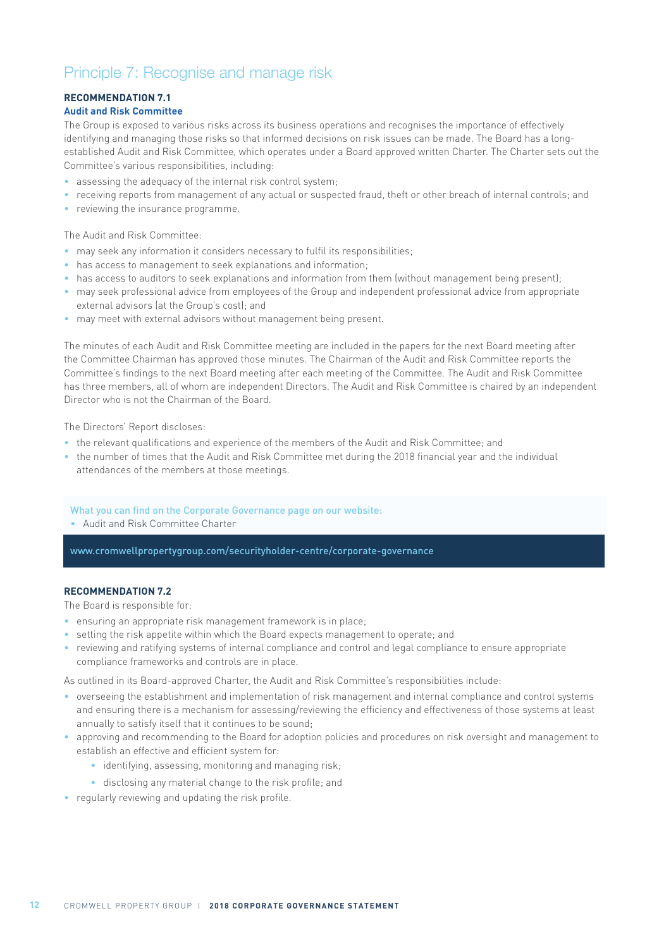# Principle 7: Recognise and manage risk

# **RECOMMENDATION 7.1**

# **Audit and Risk Committee**

The Group is exposed to various risks across its business operations and recognises the importance of effectively identifying and managing those risks so that informed decisions on risk issues can be made. The Board has a longestablished Audit and Risk Committee, which operates under a Board approved written Charter. The Charter sets out the Committee's various responsibilities, including:

- assessing the adequacy of the internal risk control system;
- receiving reports from management of any actual or suspected fraud, theft or other breach of internal controls; and
- reviewing the insurance programme.

The Audit and Risk Committee:

- may seek any information it considers necessary to fulfil its responsibilities;
- has access to management to seek explanations and information;
- has access to auditors to seek explanations and information from them (without management being present);
- may seek professional advice from employees of the Group and independent professional advice from appropriate external advisors (at the Group's cost); and
- may meet with external advisors without management being present.

The minutes of each Audit and Risk Committee meeting are included in the papers for the next Board meeting after the Committee Chairman has approved those minutes. The Chairman of the Audit and Risk Committee reports the Committee's findings to the next Board meeting after each meeting of the Committee. The Audit and Risk Committee has three members, all of whom are independent Directors. The Audit and Risk Committee is chaired by an independent Director who is not the Chairman of the Board.

The Directors' Report discloses:

- the relevant qualifications and experience of the members of the Audit and Risk Committee; and
- the number of times that the Audit and Risk Committee met during the 2018 financial year and the individual attendances of the members at those meetings.

### What you can find on the Corporate Governance page on our website:

• Audit and Risk Committee Charter

www.cromwellpropertygroup.com/securityholder-centre/corporate-governance

### **RECOMMENDATION 7.2**

The Board is responsible for:

- ensuring an appropriate risk management framework is in place;
- setting the risk appetite within which the Board expects management to operate; and
- reviewing and ratifying systems of internal compliance and control and legal compliance to ensure appropriate compliance frameworks and controls are in place.

As outlined in its Board-approved Charter, the Audit and Risk Committee's responsibilities include:

- overseeing the establishment and implementation of risk management and internal compliance and control systems and ensuring there is a mechanism for assessing/reviewing the efficiency and effectiveness of those systems at least annually to satisfy itself that it continues to be sound;
- approving and recommending to the Board for adoption policies and procedures on risk oversight and management to establish an effective and efficient system for:
	- identifying, assessing, monitoring and managing risk;
	- disclosing any material change to the risk profile; and
- regularly reviewing and updating the risk profile.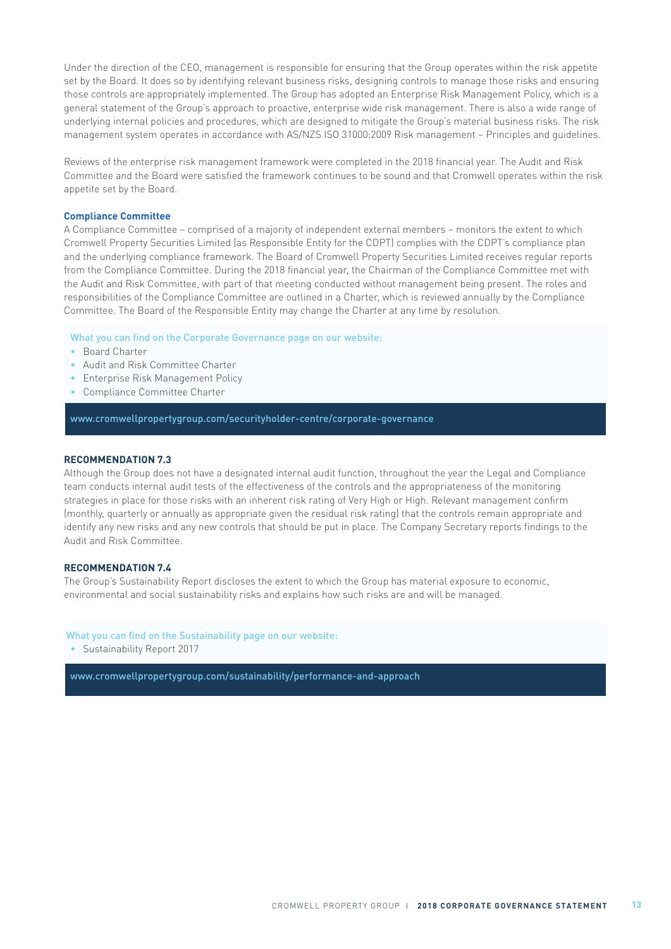Under the direction of the CEO, management is responsible for ensuring that the Group operates within the risk appetite set by the Board. It does so by identifying relevant business risks, designing controls to manage those risks and ensuring those controls are appropriately implemented. The Group has adopted an Enterprise Risk Management Policy, which is a general statement of the Group's approach to proactive, enterprise wide risk management. There is also a wide range of underlying internal policies and procedures, which are designed to mitigate the Group's material business risks. The risk management system operates in accordance with AS/NZS ISO 31000:2009 Risk management – Principles and guidelines.

Reviews of the enterprise risk management framework were completed in the 2018 financial year. The Audit and Risk Committee and the Board were satisfied the framework continues to be sound and that Cromwell operates within the risk appetite set by the Board.

### **Compliance Committee**

A Compliance Committee – comprised of a majority of independent external members – monitors the extent to which Cromwell Property Securities Limited (as Responsible Entity for the CDPT) complies with the CDPT's compliance plan and the underlying compliance framework. The Board of Cromwell Property Securities Limited receives regular reports from the Compliance Committee. During the 2018 financial year, the Chairman of the Compliance Committee met with the Audit and Risk Committee, with part of that meeting conducted without management being present. The roles and responsibilities of the Compliance Committee are outlined in a Charter, which is reviewed annually by the Compliance Committee. The Board of the Responsible Entity may change the Charter at any time by resolution.

What you can find on the Corporate Governance page on our website:

- Board Charter
- Audit and Risk Committee Charter
- Enterprise Risk Management Policy
- Compliance Committee Charter

www.cromwellpropertygroup.com/securityholder-centre/corporate-governance

#### **RECOMMENDATION 7.3**

Although the Group does not have a designated internal audit function, throughout the year the Legal and Compliance team conducts internal audit tests of the effectiveness of the controls and the appropriateness of the monitoring strategies in place for those risks with an inherent risk rating of Very High or High. Relevant management confirm (monthly, quarterly or annually as appropriate given the residual risk rating) that the controls remain appropriate and identify any new risks and any new controls that should be put in place. The Company Secretary reports findings to the Audit and Risk Committee.

#### **RECOMMENDATION 7.4**

The Group's Sustainability Report discloses the extent to which the Group has material exposure to economic, environmental and social sustainability risks and explains how such risks are and will be managed.

#### What you can find on the Sustainability page on our website:

• Sustainability Report 2017

www.cromwellpropertygroup.com/sustainability/performance-and-approach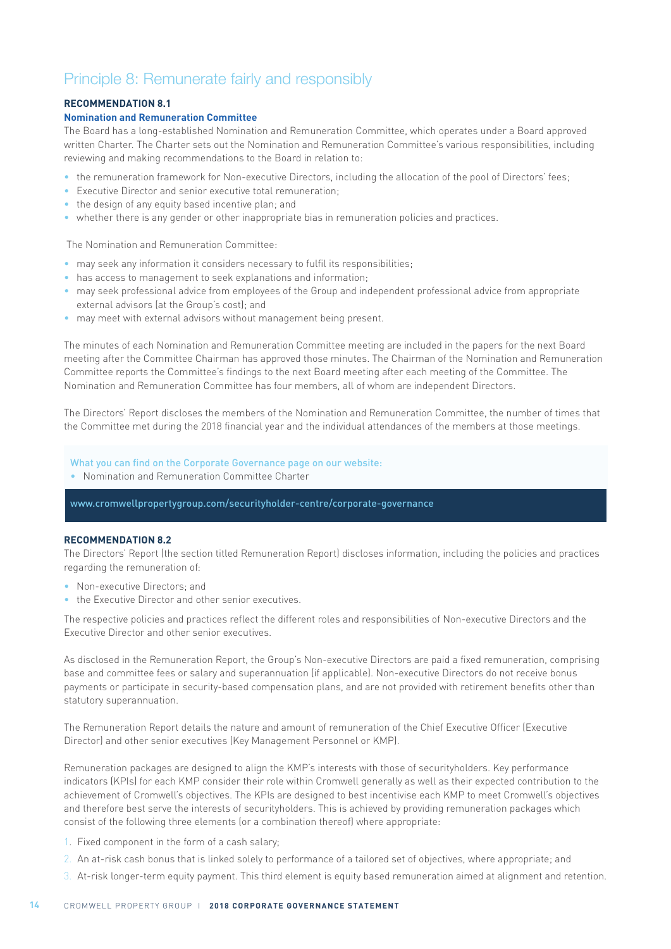# Principle 8: Remunerate fairly and responsibly

# **RECOMMENDATION 8.1**

### **Nomination and Remuneration Committee**

The Board has a long-established Nomination and Remuneration Committee, which operates under a Board approved written Charter. The Charter sets out the Nomination and Remuneration Committee's various responsibilities, including reviewing and making recommendations to the Board in relation to:

- the remuneration framework for Non-executive Directors, including the allocation of the pool of Directors' fees;
- Executive Director and senior executive total remuneration;
- the design of any equity based incentive plan; and
- whether there is any gender or other inappropriate bias in remuneration policies and practices.

The Nomination and Remuneration Committee:

- may seek any information it considers necessary to fulfil its responsibilities;
- has access to management to seek explanations and information;
- may seek professional advice from employees of the Group and independent professional advice from appropriate external advisors (at the Group's cost); and
- may meet with external advisors without management being present.

The minutes of each Nomination and Remuneration Committee meeting are included in the papers for the next Board meeting after the Committee Chairman has approved those minutes. The Chairman of the Nomination and Remuneration Committee reports the Committee's findings to the next Board meeting after each meeting of the Committee. The Nomination and Remuneration Committee has four members, all of whom are independent Directors.

The Directors' Report discloses the members of the Nomination and Remuneration Committee, the number of times that the Committee met during the 2018 financial year and the individual attendances of the members at those meetings.

#### What you can find on the Corporate Governance page on our website:

• Nomination and Remuneration Committee Charter

www.cromwellpropertygroup.com/securityholder-centre/corporate-governance

### **RECOMMENDATION 8.2**

The Directors' Report (the section titled Remuneration Report) discloses information, including the policies and practices regarding the remuneration of:

- Non-executive Directors: and
- the Executive Director and other senior executives.

The respective policies and practices reflect the different roles and responsibilities of Non-executive Directors and the Executive Director and other senior executives.

As disclosed in the Remuneration Report, the Group's Non-executive Directors are paid a fixed remuneration, comprising base and committee fees or salary and superannuation (if applicable). Non-executive Directors do not receive bonus payments or participate in security-based compensation plans, and are not provided with retirement benefits other than statutory superannuation.

The Remuneration Report details the nature and amount of remuneration of the Chief Executive Officer (Executive Director) and other senior executives (Key Management Personnel or KMP).

Remuneration packages are designed to align the KMP's interests with those of securityholders. Key performance indicators (KPIs) for each KMP consider their role within Cromwell generally as well as their expected contribution to the achievement of Cromwell's objectives. The KPIs are designed to best incentivise each KMP to meet Cromwell's objectives and therefore best serve the interests of securityholders. This is achieved by providing remuneration packages which consist of the following three elements (or a combination thereof) where appropriate:

- 1. Fixed component in the form of a cash salary;
- 2. An at-risk cash bonus that is linked solely to performance of a tailored set of objectives, where appropriate; and
- 3. At-risk longer-term equity payment. This third element is equity based remuneration aimed at alignment and retention.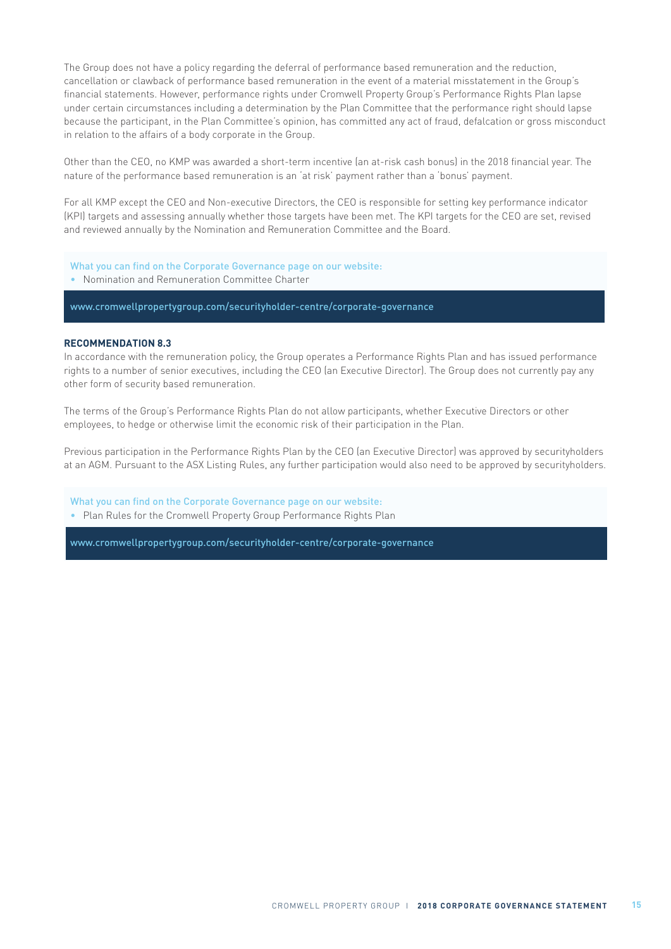The Group does not have a policy regarding the deferral of performance based remuneration and the reduction, cancellation or clawback of performance based remuneration in the event of a material misstatement in the Group's financial statements. However, performance rights under Cromwell Property Group's Performance Rights Plan lapse under certain circumstances including a determination by the Plan Committee that the performance right should lapse because the participant, in the Plan Committee's opinion, has committed any act of fraud, defalcation or gross misconduct in relation to the affairs of a body corporate in the Group.

Other than the CEO, no KMP was awarded a short-term incentive (an at-risk cash bonus) in the 2018 financial year. The nature of the performance based remuneration is an 'at risk' payment rather than a 'bonus' payment.

For all KMP except the CEO and Non-executive Directors, the CEO is responsible for setting key performance indicator (KPI) targets and assessing annually whether those targets have been met. The KPI targets for the CEO are set, revised and reviewed annually by the Nomination and Remuneration Committee and the Board.

- What you can find on the Corporate Governance page on our website:
- Nomination and Remuneration Committee Charter

www.cromwellpropertygroup.com/securityholder-centre/corporate-governance

#### **RECOMMENDATION 8.3**

In accordance with the remuneration policy, the Group operates a Performance Rights Plan and has issued performance rights to a number of senior executives, including the CEO (an Executive Director). The Group does not currently pay any other form of security based remuneration.

The terms of the Group's Performance Rights Plan do not allow participants, whether Executive Directors or other employees, to hedge or otherwise limit the economic risk of their participation in the Plan.

Previous participation in the Performance Rights Plan by the CEO (an Executive Director) was approved by securityholders at an AGM. Pursuant to the ASX Listing Rules, any further participation would also need to be approved by securityholders.

What you can find on the Corporate Governance page on our website: • Plan Rules for the Cromwell Property Group Performance Rights Plan